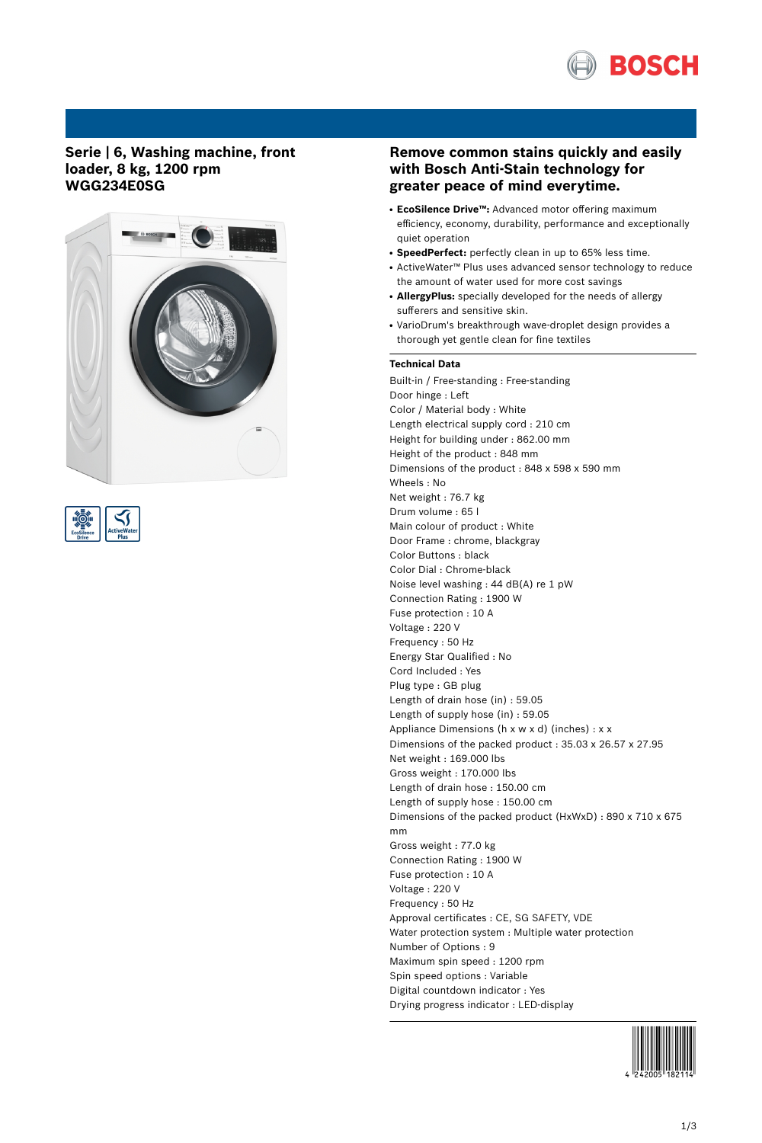

## **Serie | 6, Washing machine, front loader, 8 kg, 1200 rpm WGG234E0SG**





# **Remove common stains quickly and easily with Bosch Anti-Stain technology for greater peace of mind everytime.**

- **EcoSilence Drive™:** Advanced motor offering maximum efficiency, economy, durability, performance and exceptionally quiet operation
- **SpeedPerfect:** perfectly clean in up to 65% less time.
- ActiveWater™ Plus uses advanced sensor technology to reduce the amount of water used for more cost savings
- AllergyPlus: specially developed for the needs of allergy sufferers and sensitive skin.
- VarioDrum's breakthrough wave-droplet design provides a thorough yet gentle clean for fine textiles

### **Technical Data**

Built-in / Free-standing : Free-standing Door hinge : Left Color / Material body : White Length electrical supply cord : 210 cm Height for building under : 862.00 mm Height of the product : 848 mm Dimensions of the product : 848 x 598 x 590 mm Wheels : No Net weight : 76.7 kg Drum volume : 65 l Main colour of product : White Door Frame : chrome, blackgray Color Buttons : black Color Dial : Chrome-black Noise level washing : 44 dB(A) re 1 pW Connection Rating : 1900 W Fuse protection : 10 A Voltage : 220 V Frequency : 50 Hz Energy Star Qualified : No Cord Included : Yes Plug type : GB plug Length of drain hose (in) : 59.05 Length of supply hose (in) : 59.05 Appliance Dimensions (h x w x d) (inches) : x x Dimensions of the packed product : 35.03 x 26.57 x 27.95 Net weight : 169.000 lbs Gross weight : 170.000 lbs Length of drain hose : 150.00 cm Length of supply hose : 150.00 cm Dimensions of the packed product (HxWxD) : 890 x 710 x 675 mm Gross weight : 77.0 kg Connection Rating : 1900 W Fuse protection : 10 A Voltage : 220 V Frequency : 50 Hz Approval certificates : CE, SG SAFETY, VDE Water protection system : Multiple water protection Number of Options : 9 Maximum spin speed : 1200 rpm Spin speed options : Variable Digital countdown indicator : Yes Drying progress indicator : LED-display

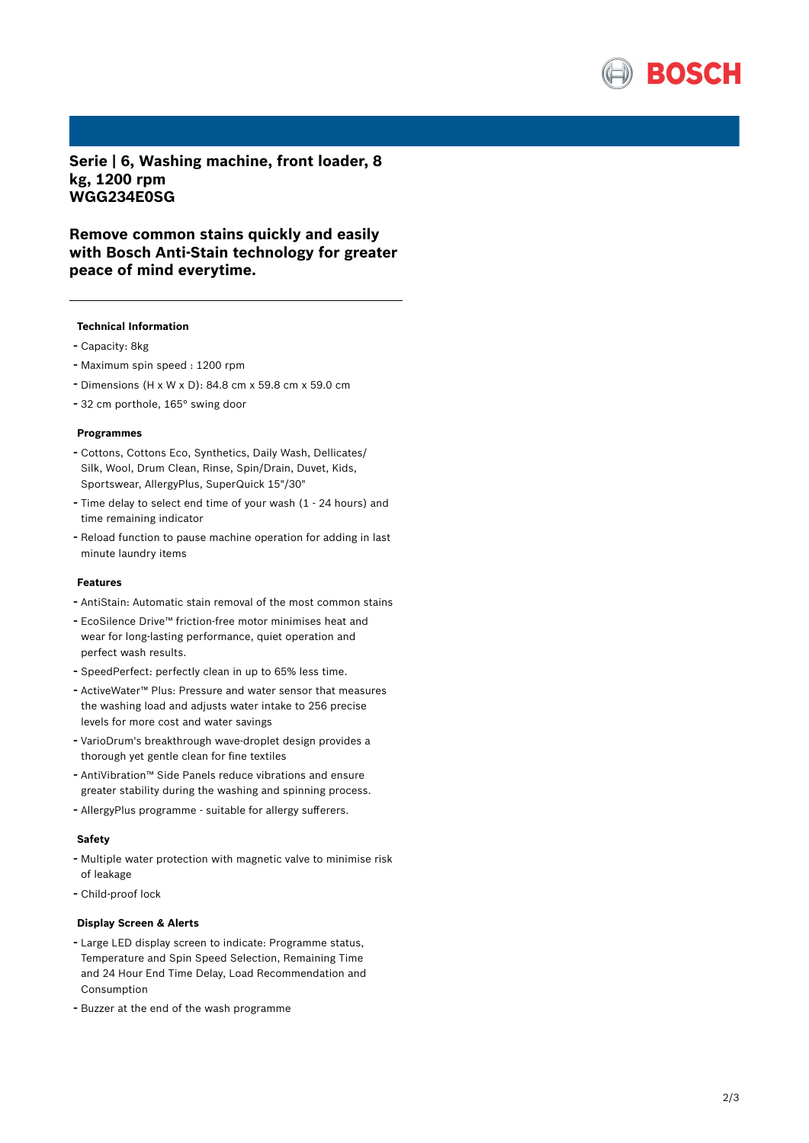

**Serie | 6, Washing machine, front loader, 8 kg, 1200 rpm WGG234E0SG**

**Remove common stains quickly and easily with Bosch Anti-Stain technology for greater peace of mind everytime.**

#### **Technical Information**

- Capacity: 8kg
- Maximum spin speed : <sup>1200</sup> rpm
- Dimensions (H x W x D): 84.8 cm x 59.8 cm x 59.0 cm
- <sup>32</sup> cm porthole, 165° swing door

#### **Programmes**

- Cottons, Cottons Eco, Synthetics, Daily Wash, Dellicates/ Silk, Wool, Drum Clean, Rinse, Spin/Drain, Duvet, Kids, Sportswear, AllergyPlus, SuperQuick 15"/30"
- Time delay to select end time of your wash (1 <sup>24</sup> hours) and time remaining indicator
- Reload function to pause machine operation for adding in last minute laundry items

#### **Features**

- AntiStain: Automatic stain removal of the most common stains
- EcoSilence Drive™ friction-free motor minimises heat and wear for long-lasting performance, quiet operation and perfect wash results.
- SpeedPerfect: perfectly clean in up to 65% less time.
- ActiveWater™ Plus: Pressure and water sensor that measures the washing load and adjusts water intake to 256 precise levels for more cost and water savings
- VarioDrum's breakthrough wave-droplet design provides <sup>a</sup> thorough yet gentle clean for fine textiles
- AntiVibration™ Side Panels reduce vibrations and ensure greater stability during the washing and spinning process.
- AllergyPlus programme suitable for allergy sufferers.

### **Safety**

- Multiple water protection with magnetic valve to minimise risk of leakage
- Child-proof lock

#### **Display Screen & Alerts**

- Large LED display screen to indicate: Programme status, Temperature and Spin Speed Selection, Remaining Time and 24 Hour End Time Delay, Load Recommendation and Consumption
- Buzzer at the end of the wash programme